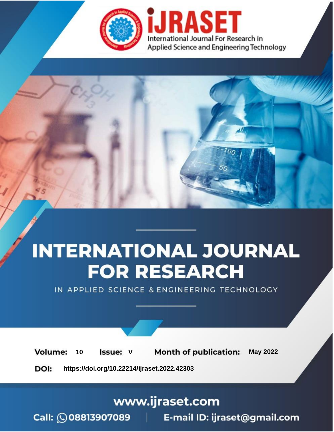

# **INTERNATIONAL JOURNAL FOR RESEARCH**

IN APPLIED SCIENCE & ENGINEERING TECHNOLOGY

Volume: **Month of publication: May 2022** 10 **Issue: V** 

DOI: https://doi.org/10.22214/ijraset.2022.42303

www.ijraset.com

Call: 008813907089 | E-mail ID: ijraset@gmail.com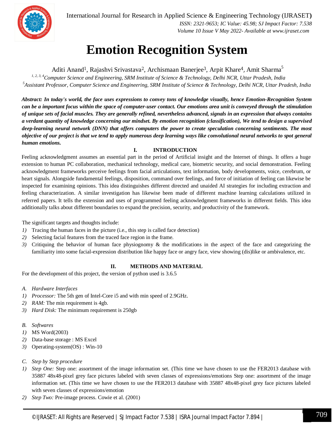

International Journal for Research in Applied Science & Engineering Technology (IJRASET**)**  *ISSN: 2321-9653; IC Value: 45.98; SJ Impact Factor: 7.538 Volume 10 Issue V May 2022- Available at www.ijraset.com*

### **Emotion Recognition System**

Aditi Anand<sup>1</sup>, Rajashvi Srivastava<sup>2</sup>, Archismaan Banerjee<sup>3</sup>, Arpit Khare<sup>4</sup>, Amit Sharma<sup>5</sup>

*1, 2, 3, 4Computer Science and Engineering, SRM Institute of Science & Technology, Delhi NCR, Uttar Pradesh, India <sup>5</sup>Assistant Professor, Computer Science and Engineering, SRM Institute of Science & Technology, Delhi NCR, Uttar Pradesh, India*

*Abstract: In today's world, the face uses expressions to convey tons of knowledge visually, hence Emotion-Recognition System can be a important focus within the space of computer-user contact. Our emotions area unit is conveyed through the stimulation of unique sets of facial muscles. They are generally refined, nevertheless advanced, signals in an expression that always contains a verdant quantity of knowledge concerning our mindset. By emotion recognition (classification), We tend to design a supervised deep-learning neural network (DNN) that offers computers the power to create speculation concerning sentiments. The most objective of our project is that we tend to apply numerous deep learning ways like convolutional neural networks to spot general human emotions.*

#### **I. INTRODUCTION**

Feeling acknowledgment assumes an essential part in the period of Artificial insight and the Internet of things. It offers a huge extension to human PC collaboration, mechanical technology, medical care, biometric security, and social demonstration. Feeling acknowledgment frameworks perceive feelings from facial articulations, text information, body developments, voice, cerebrum, or heart signals. Alongside fundamental feelings, disposition, command over feelings, and force of initiation of feeling can likewise be inspected for examining opinions. This idea distinguishes different directed and unaided AI strategies for including extraction and feeling characterization. A similar investigation has likewise been made of different machine learning calculations utilized in referred papers. It tells the extension and uses of programmed feeling acknowledgment frameworks in different fields. This idea additionally talks about different boundaries to expand the precision, security, and productivity of the framework.

The significant targets and thoughts include:

- *1)* Tracing the human faces in the picture (i.e., this step is called face detection)
- *2)* Selecting facial features from the traced face region in the frame.
- *3)* Critiquing the behavior of human face physiognomy & the modifications in the aspect of the face and categorizing the familiarity into some facial-expression distribution like happy face or angry face, view showing (dis)like or ambivalence, etc.

#### **II. METHODS AND MATERIAL**

For the development of this project, the version of python used is 3.6.5

- *A. Hardware Interfaces*
- *1) Processor:* The 5th gen of Intel-Core i5 and with min speed of 2.9GHz.
- *2) RAM:* The min requirement is 4gb.
- *3) Hard Disk:* The minimum requirement is 250gb
- *B. Softwares*
- *1)* MS Word(2003)
- *2)* Data-base storage : MS Excel
- *3)* Operating-system(OS) : Win-10
- *C. Step by Step procedure*
- *1) Step One:* Step one: assortment of the image information set. (This time we have chosen to use the FER2013 database with 35887 48x48-pixel grey face pictures labeled with seven classes of expressions/emotions Step one: assortment of the image information set. (This time we have chosen to use the FER2013 database with 35887 48x48-pixel grey face pictures labeled with seven classes of expressions/emotion
- *2) Step Two:* Pre-image process. Cowie et al. (2001)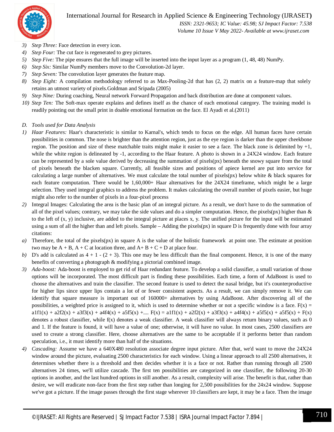#### International Journal for Research in Applied Science & Engineering Technology (IJRASET**)**



 *ISSN: 2321-9653; IC Value: 45.98; SJ Impact Factor: 7.538 Volume 10 Issue V May 2022- Available at www.ijraset.com*

- *3) Step Three:* Face detection in every icon.
- *4) Step Four:* The cut face is regenerated to grey pictures.
- *5) Step Five:* The pipe ensures that the full image will be inserted into the input layer as a program (1, 48, 48) NumPy.
- *6) Step Six:* Similar NumPy members move to the Convolution-2d layer.
- *7) Step Seven:* The convolution layer generates the feature map.
- *8) Step Eight:* A compilation methodology referred to as Max-Pooling-2d that has (2, 2) matrix on a feature-map that solely retains an utmost variety of pixels.Goldman and Sripada (2005)
- *9) Step Nine:* During coaching, Neural network Forward Propagation and back distribution are done at component values.
- *10) Step Ten:* The Soft-max operate explains and defines itself as the chance of each emotional category. The training model is readily pointing out the small print in doable emotional formation on the face. El Ayadi et al.(2011)
- *D. Tools used for Data Analysis*
- *1) Haar Features:* Haar's characteristic is similar to Karnal's, which tends to focus on the edge. All human faces have certain possibilities in common. The nose is brighter than the attention region, just as the eye region is darker than the upper cheekbone region. The position and size of these matchable traits might make it easier to see a face. The black zone is delimited by  $+1$ , while the white region is delineated by -1, according to the Haar feature. A photo is shown in a 24X24 window. Each feature can be represented by a sole value derived by decreasing the summation of pixels(px) beneath the snowy square from the total of pixels beneath the blacken square. Currently, all feasible sizes and positions of apiece kernel are put into service for calculating a large number of alternatives. We must calculate the total number of pixels( $px$ ) below white & black squares for each feature computation. There would be 1,60,000+ Haar alternatives for the 24X24 timeframe, which might be a large selection. They used integral graphics to address the problem. It makes calculating the overall number of pixels easier, but huge might also refer to the number of pixels in a four-pixel process
- *2)* Integral Images: Calculating the area is the basic plan of an integral picture. As a result, we don't have to do the summation of all of the pixel values; contrary, we may take the side values and do a simpler computation. Hence, the pixels(px) higher than  $\&$ to the left of (x, y) inclusive, are added to the integral picture at places x, y. The unified picture for the input will be estimated using a sum of all the higher than and left pixels. Sample – Adding the pixels(px) in square D is frequently done with four array citations:
- *a)* Therefore, the total of the pixels(px) in square A is the value of the holistic framework at point one. The estimate at position two may be  $A + B$ ,  $A + C$  at location three, and  $A + B + C + D$  at place four.
- *b*) D's add is calculated as  $4 + 1 (2 + 3)$ . This one may be less difficult than the final component. Hence, it is one of the many benefits of converting a photograph & modifying a pictorial combined image.
- *3) Ada-boost:* Ada-boost is employed to get rid of Haar redundant feature. To develop a solid classifier, a small variation of those options will be incorporated. The most difficult part is finding these possibilities. Each time, a form of AdaBoost is used to choose the alternatives and train the classifier. The second feature is used to detect the nasal bridge, but it's counterproductive for higher lips since upper lips contain a lot of or fewer consistent aspects. As a result, we can simply remove it. We can identify that square measure is important out of 160000+ alternatives by using AdaBoost. After discovering all of the possibilities, a weighted price is assigned to it, which is used to determine whether or not a specific window is a face.  $F(x) =$  $a1f1(x) + a2f2(x) + a3f3(x) + a4f4(x) + a5f5(x) + \ldots$   $F(x) = a1f1(x) + a2f2(x) + a3f3(x) + a4f4(x) + a5f5(x) + f(x)$ denotes a robust classifier, while f(x) denotes a weak classifier. A weak classifier will always return binary values, such as 0 and 1. If the feature is found, it will have a value of one; otherwise, it will have no value. In most cases, 2500 classifiers are used to create a strong classifier. Here, choose alternatives are the same to be acceptable if it performs better than random speculation, i.e., it must identify more than half of the situations.
- *4) Cascading:* Assume we have a 640X480 resolution associate degree input picture. After that, we'd want to move the 24X24 window around the picture, evaluating 2500 characteristics for each window. Using a linear approach to all 2500 alternatives, it determines whether there is a threshold and then decides whether it is a face or not. Rather than running through all 2500 alternatives 24 times, we'll utilize cascade. The first ten possibilities are categorized in one classifier, the following 20-30 options in another, and the last hundred options in still another. As a result, complexity will arise. The benefit is that, rather than desire, we will eradicate non-face from the first step rather than longing for 2,500 possibilities for the 24x24 window. Suppose we've got a picture. If the image passes through the first stage wherever 10 classifiers are kept, it may be a face. Then the image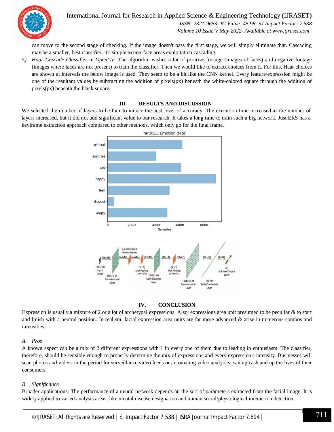

International Journal for Research in Applied Science & Engineering Technology (IJRASET**)**  *ISSN: 2321-9653; IC Value: 45.98; SJ Impact Factor: 7.538*

 *Volume 10 Issue V May 2022- Available at www.ijraset.com*

can move to the second stage of checking. If the image doesn't pass the first stage, we will simply eliminate that. Cascading may be a smaller, best classifier. it's simple to non-face areas exploitation cascading.

*5) Haar Cascade Classifier in OpenCV:* The algorithm wishes a lot of positive footage (images of faces) and negative footage (images where faces are not present) to train the classifier. Then we would like to extract choices from it. For this, Haar choices are shown at intervals the below image is used. They seem to be a bit like the CNN kernel. Every feature/expression might be one of the resultant values by subtracting the addition of pixels(px) beneath the white-colored square through the addition of pixels(px) beneath the black square.

#### **III. RESULTS AND DISCUSSION**

We selected the number of layers to be four to induce the best level of accuracy. The execution time increased as the number of layers increased, but it did not add significant value to our research. It takes a long time to train such a big network. Just ERS has a keyframe extraction approach compared to other methods, which only go for the final frame.





Expression is usually a mixture of 2 or a lot of archetypal expressions. Also, expressions area unit presumed to be peculiar & to start and finish with a neutral position. In realism, facial expression area units are far more advanced & arise in numerous combos and intensities.

#### *A. Pros*

A known aspect can be a mix of 2 different expressions with 1 in every one of them due to leading in enthusiasm. The classifier, therefore, should be sensible enough to properly determine the mix of expressions and every expression's intensity. Businesses will scan photos and videos in the period for surveillance video feeds or automating video analytics, saving cash and up the lives of their consumers.

#### *B. Significance*

Broader applications: The performance of a neural network depends on the sort of parameters extracted from the facial image. It is widely applied to varied analysis areas, like mental disease designation and human social/physiological interaction detection.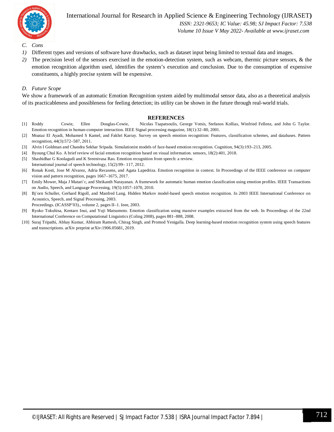

International Journal for Research in Applied Science & Engineering Technology (IJRASET**)**

 *ISSN: 2321-9653; IC Value: 45.98; SJ Impact Factor: 7.538 Volume 10 Issue V May 2022- Available at www.ijraset.com*

- *C. Cons*
- *1)* Different types and versions of software have drawbacks, such as dataset input being limited to textual data and images.
- *2)* The precision level of the sensors exercised in the emotion-detection system, such as webcam, thermic picture sensors, & the emotion recognition algorithm used, identifies the system's execution and conclusion. Due to the consumption of expensive constituents, a highly precise system will be expensive.

#### *D. Future Scope*

We show a framework of an automatic Emotion Recognition system aided by multimodal sensor data, also as a theoretical analysis of its practicableness and possibleness for feeling detection; its utility can be shown in the future through real-world trials.

#### **REFERENCES**

- [1] Roddy Cowie, Ellen Douglas-Cowie, Nicolas Tsapatsoulis, George Votsis, Stefanos Kollias, Winfried Fellenz, and John G Taylor. Emotion recognition in human-computer interaction. IEEE Signal processing magazine, 18(1):32–80, 2001.
- [2] Moataz El Ayadi, Mohamed S Kamel, and Fakhri Karray. Survey on speech emotion recognition: Features, classification schemes, and databases. Pattern recognition, 44(3):572–587, 2011.
- [3] Alvin I Goldman and Chandra Sekhar Sripada. Simulationist models of face-based emotion recognition. Cognition, 94(3):193–213, 2005.
- [4] Byoung Chul Ko. A brief review of facial emotion recognition based on visual information. sensors, 18(2):401, 2018.
- [5] Shashidhar G Koolagudi and K Sreenivasa Rao. Emotion recognition from speech: a review.
- International journal of speech technology, 15(2):99– 117, 2012. [6] Ronak Kosti, Jose M Alvarez, Adria Recasens, and Agata Lapedriza. Emotion recognition in context. In Proceedings of the IEEE conference on computer vision and pattern recognition, pages 1667–1675, 2017.
- [7] Emily Mower, Maja J Matari´c, and Shrikanth Narayanan. A framework for automatic human emotion classification using emotion profiles. IEEE Transactions on Audio, Speech, and Language Processing, 19(5):1057–1070, 2010.
- [8] Bj¨orn Schuller, Gerhard Rigoll, and Manfred Lang. Hidden Markov model-based speech emotion recognition. In 2003 IEEE International Conference on Acoustics, Speech, and Signal Processing, 2003.

Proceedings. (ICASSP'03)., volume 2, pages II–1. Ieee, 2003.

- [9] Ryoko Tokuhisa, Kentaro Inui, and Yuji Matsumoto. Emotion classification using massive examples extracted from the web. In Proceedings of the 22nd International Conference on Computational Linguistics (Coling 2008), pages 881–888, 2008.
- [10] Suraj Tripathi, Abhay Kumar, Abhiram Ramesh, Chirag Singh, and Promod Yenigalla. Deep learning-based emotion recognition system using speech features and transcriptions. arXiv preprint arXiv:1906.05681, 2019.